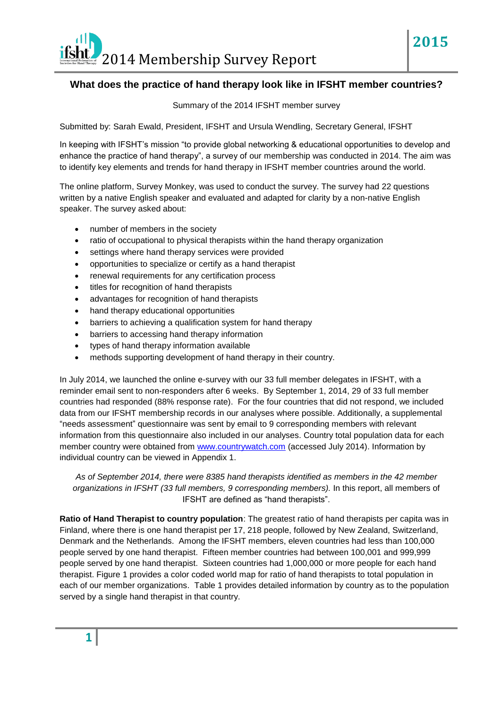## **What does the practice of hand therapy look like in IFSHT member countries?**

**2015**

Summary of the 2014 IFSHT member survey

Submitted by: Sarah Ewald, President, IFSHT and Ursula Wendling, Secretary General, IFSHT

In keeping with IFSHT's mission "to provide global networking & educational opportunities to develop and enhance the practice of hand therapy", a survey of our membership was conducted in 2014. The aim was to identify key elements and trends for hand therapy in IFSHT member countries around the world.

The online platform, Survey Monkey, was used to conduct the survey. The survey had 22 questions written by a native English speaker and evaluated and adapted for clarity by a non-native English speaker. The survey asked about:

- number of members in the society
- ratio of occupational to physical therapists within the hand therapy organization
- settings where hand therapy services were provided
- opportunities to specialize or certify as a hand therapist
- renewal requirements for any certification process
- titles for recognition of hand therapists
- advantages for recognition of hand therapists
- hand therapy educational opportunities
- barriers to achieving a qualification system for hand therapy
- barriers to accessing hand therapy information
- types of hand therapy information available
- methods supporting development of hand therapy in their country.

In July 2014, we launched the online e-survey with our 33 full member delegates in IFSHT, with a reminder email sent to non-responders after 6 weeks. By September 1, 2014, 29 of 33 full member countries had responded (88% response rate). For the four countries that did not respond, we included data from our IFSHT membership records in our analyses where possible. Additionally, a supplemental "needs assessment" questionnaire was sent by email to 9 corresponding members with relevant information from this questionnaire also included in our analyses. Country total population data for each member country were obtained from [www.countrywatch.com](http://www.countrywatch.com/) (accessed July 2014). Information by individual country can be viewed in Appendix 1.

*As of September 2014, there were 8385 hand therapists identified as members in the 42 member organizations in IFSHT (33 full members, 9 corresponding members).* In this report, all members of IFSHT are defined as "hand therapists".

**Ratio of Hand Therapist to country population**: The greatest ratio of hand therapists per capita was in Finland, where there is one hand therapist per 17, 218 people, followed by New Zealand, Switzerland, Denmark and the Netherlands. Among the IFSHT members, eleven countries had less than 100,000 people served by one hand therapist. Fifteen member countries had between 100,001 and 999,999 people served by one hand therapist. Sixteen countries had 1,000,000 or more people for each hand therapist. Figure 1 provides a color coded world map for ratio of hand therapists to total population in each of our member organizations. Table 1 provides detailed information by country as to the population served by a single hand therapist in that country.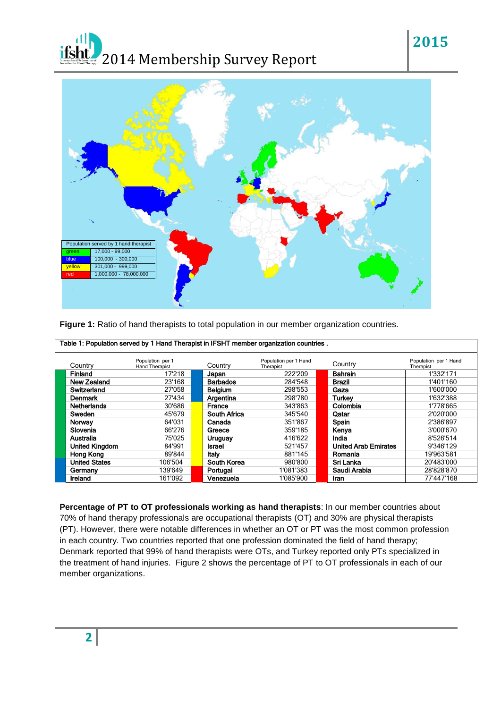## *ifsht.* 2014 Membership Survey Report



**Figure 1:** Ratio of hand therapists to total population in our member organization countries.

| Table 1: Population served by 1 Hand Therapist in IFSHT member organization countries. |                                    |  |                 |                                    |  |                             |                                    |  |
|----------------------------------------------------------------------------------------|------------------------------------|--|-----------------|------------------------------------|--|-----------------------------|------------------------------------|--|
| Country                                                                                | Population per 1<br>Hand Therapist |  | Country         | Population per 1 Hand<br>Therapist |  | Country                     | Population per 1 Hand<br>Therapist |  |
| Finland                                                                                | 17'218                             |  | Japan           | 222'209                            |  | <b>Bahrain</b>              | 1'332'171                          |  |
| New Zealand                                                                            | 23'168                             |  | <b>Barbados</b> | 284'548                            |  | Brazil                      | 1'401'160                          |  |
| Switzerland                                                                            | 27'058                             |  | Belgium         | 298'553                            |  | Gaza                        | 1'600'000                          |  |
| Denmark                                                                                | 27'434                             |  | Argentina       | 298'780                            |  | Turkev                      | 1'632'388                          |  |
| <b>Netherlands</b>                                                                     | 30'686                             |  | France          | 343'863                            |  | Colombia                    | 1'778'665                          |  |
| Sweden                                                                                 | 45'679                             |  | South Africa    | 345'540                            |  | Qatar                       | 2'020'000                          |  |
| Norway                                                                                 | 64'031                             |  | Canada          | 351'867                            |  | Spain                       | 2'386'897                          |  |
| Slovenia                                                                               | 66'276                             |  | Greece          | 359'185                            |  | Kenya                       | 3'000'670                          |  |
| Australia                                                                              | 75'025                             |  | Uruguay         | 416'622                            |  | India                       | 8'526'514                          |  |
| <b>United Kingdom</b>                                                                  | 84'991                             |  | <b>Israel</b>   | 521'457                            |  | <b>United Arab Emirates</b> | 9'346'129                          |  |
| Hong Kong                                                                              | 89'844                             |  | Italy           | 881'145                            |  | Romania                     | 19'963'581                         |  |
| <b>United States</b>                                                                   | 106'504                            |  | South Korea     | 980'800                            |  | Sri Lanka                   | 20'483'000                         |  |
| Germany                                                                                | 139'649                            |  | Portugal        | 1'081'383                          |  | Saudi Arabia                | 28'828'870                         |  |
| <b>Ireland</b>                                                                         | 161'092                            |  | Venezuela       | 1'085'900                          |  | Iran                        | 77'447'168                         |  |

**Percentage of PT to OT professionals working as hand therapists**: In our member countries about 70% of hand therapy professionals are occupational therapists (OT) and 30% are physical therapists (PT). However, there were notable differences in whether an OT or PT was the most common profession in each country. Two countries reported that one profession dominated the field of hand therapy; Denmark reported that 99% of hand therapists were OTs, and Turkey reported only PTs specialized in the treatment of hand injuries. Figure 2 shows the percentage of PT to OT professionals in each of our member organizations.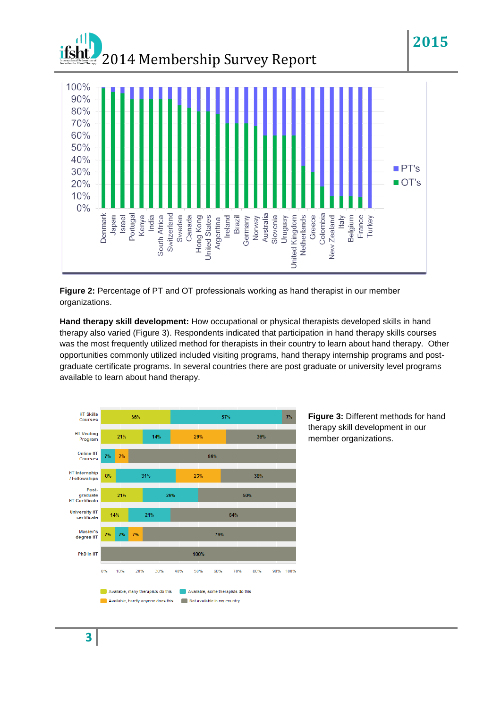

**Figure 2:** Percentage of PT and OT professionals working as hand therapist in our member organizations.

**Hand therapy skill development:** How occupational or physical therapists developed skills in hand therapy also varied (Figure 3). Respondents indicated that participation in hand therapy skills courses was the most frequently utilized method for therapists in their country to learn about hand therapy. Other opportunities commonly utilized included visiting programs, hand therapy internship programs and postgraduate certificate programs. In several countries there are post graduate or university level programs available to learn about hand therapy.



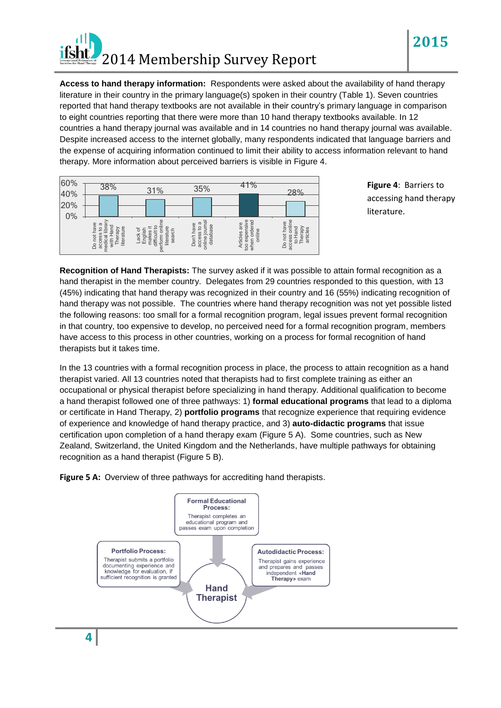

**Access to hand therapy information:** Respondents were asked about the availability of hand therapy literature in their country in the primary language(s) spoken in their country (Table 1). Seven countries reported that hand therapy textbooks are not available in their country's primary language in comparison to eight countries reporting that there were more than 10 hand therapy textbooks available. In 12 countries a hand therapy journal was available and in 14 countries no hand therapy journal was available. Despite increased access to the internet globally, many respondents indicated that language barriers and the expense of acquiring information continued to limit their ability to access information relevant to hand therapy. More information about perceived barriers is visible in Figure 4.

| 60%<br>40% | 38%                                                                                    |  |                                                  | 35%<br>31%                                   |  |                                                            | 1%<br>4 | 28%                                                        |  |                                |  |
|------------|----------------------------------------------------------------------------------------|--|--------------------------------------------------|----------------------------------------------|--|------------------------------------------------------------|---------|------------------------------------------------------------|--|--------------------------------|--|
| 20%<br>0%  |                                                                                        |  |                                                  |                                              |  |                                                            |         |                                                            |  |                                |  |
|            | Do not have<br>G<br>edical libra<br>Hand<br>literature<br>access to<br>Therapy<br>with |  | difficult to<br>≝<br>Lack of<br>English<br>makes | onlin<br>literature<br>search<br>rform<br>9e |  | online journal<br>Φ<br>Don't have<br>database<br>access to |         | too expensive<br>ordered<br>Articles are<br>online<br>when |  | to Hand<br>Therapy<br>articles |  |

**Figure 4**: Barriers to accessing hand therapy literature.

**2015**

**Recognition of Hand Therapists:** The survey asked if it was possible to attain formal recognition as a hand therapist in the member country. Delegates from 29 countries responded to this question, with 13 (45%) indicating that hand therapy was recognized in their country and 16 (55%) indicating recognition of hand therapy was not possible. The countries where hand therapy recognition was not yet possible listed the following reasons: too small for a formal recognition program, legal issues prevent formal recognition in that country, too expensive to develop, no perceived need for a formal recognition program, members have access to this process in other countries, working on a process for formal recognition of hand therapists but it takes time.

In the 13 countries with a formal recognition process in place, the process to attain recognition as a hand therapist varied. All 13 countries noted that therapists had to first complete training as either an occupational or physical therapist before specializing in hand therapy. Additional qualification to become a hand therapist followed one of three pathways: 1) **formal educational programs** that lead to a diploma or certificate in Hand Therapy, 2) **portfolio programs** that recognize experience that requiring evidence of experience and knowledge of hand therapy practice, and 3) **auto-didactic programs** that issue certification upon completion of a hand therapy exam (Figure 5 A). Some countries, such as New Zealand, Switzerland, the United Kingdom and the Netherlands, have multiple pathways for obtaining recognition as a hand therapist (Figure 5 B).



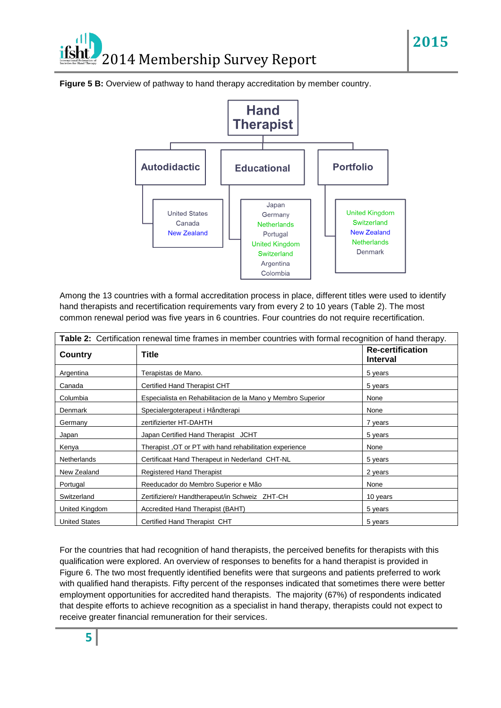## 2014 Membership Survey Report





Among the 13 countries with a formal accreditation process in place, different titles were used to identify hand therapists and recertification requirements vary from every 2 to 10 years (Table 2). The most common renewal period was five years in 6 countries. Four countries do not require recertification.

| Table 2: Certification renewal time frames in member countries with formal recognition of hand therapy. |                                                             |                                            |  |  |  |  |
|---------------------------------------------------------------------------------------------------------|-------------------------------------------------------------|--------------------------------------------|--|--|--|--|
| Country                                                                                                 | Title                                                       | <b>Re-certification</b><br><b>Interval</b> |  |  |  |  |
| Argentina                                                                                               | Terapistas de Mano.                                         | 5 years                                    |  |  |  |  |
| Canada                                                                                                  | Certified Hand Therapist CHT                                | 5 years                                    |  |  |  |  |
| Columbia                                                                                                | Especialista en Rehabilitacion de la Mano y Membro Superior | None                                       |  |  |  |  |
| Denmark                                                                                                 | Specialergoterapeut i Håndterapi                            | None                                       |  |  |  |  |
| Germany                                                                                                 | zertifizierter HT-DAHTH                                     | 7 years                                    |  |  |  |  |
| Japan                                                                                                   | Japan Certified Hand Therapist JCHT                         | 5 years                                    |  |  |  |  |
| Kenya                                                                                                   | Therapist, OT or PT with hand rehabilitation experience     | None                                       |  |  |  |  |
| <b>Netherlands</b>                                                                                      | Certificaat Hand Therapeut in Nederland CHT-NL              | 5 years                                    |  |  |  |  |
| New Zealand                                                                                             | <b>Registered Hand Therapist</b>                            | 2 years                                    |  |  |  |  |
| Portugal                                                                                                | Reeducador do Membro Superior e Mão                         | None                                       |  |  |  |  |
| Switzerland                                                                                             | Zertifiziere/r Handtherapeut/in Schweiz ZHT-CH              | 10 years                                   |  |  |  |  |
| United Kingdom                                                                                          | Accredited Hand Therapist (BAHT)                            | 5 years                                    |  |  |  |  |
| <b>United States</b>                                                                                    | Certified Hand Therapist CHT                                | 5 years                                    |  |  |  |  |

For the countries that had recognition of hand therapists, the perceived benefits for therapists with this qualification were explored. An overview of responses to benefits for a hand therapist is provided in Figure 6. The two most frequently identified benefits were that surgeons and patients preferred to work with qualified hand therapists. Fifty percent of the responses indicated that sometimes there were better employment opportunities for accredited hand therapists. The majority (67%) of respondents indicated that despite efforts to achieve recognition as a specialist in hand therapy, therapists could not expect to receive greater financial remuneration for their services.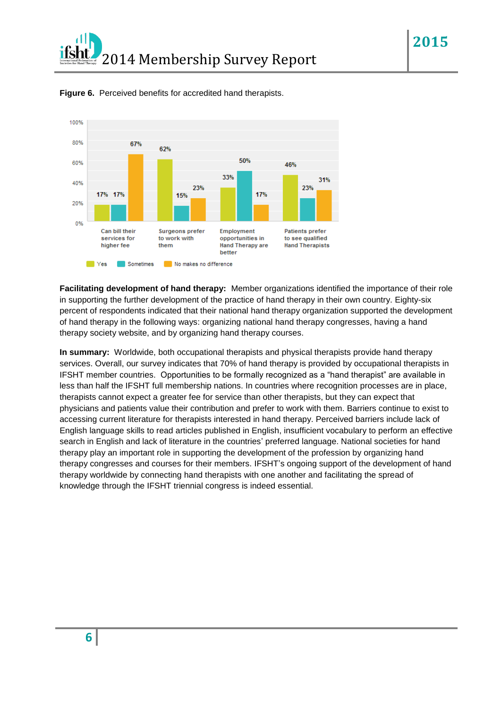

**Figure 6.** Perceived benefits for accredited hand therapists.

**Facilitating development of hand therapy:** Member organizations identified the importance of their role in supporting the further development of the practice of hand therapy in their own country. Eighty-six percent of respondents indicated that their national hand therapy organization supported the development of hand therapy in the following ways: organizing national hand therapy congresses, having a hand therapy society website, and by organizing hand therapy courses.

**In summary:** Worldwide, both occupational therapists and physical therapists provide hand therapy services. Overall, our survey indicates that 70% of hand therapy is provided by occupational therapists in IFSHT member countries. Opportunities to be formally recognized as a "hand therapist" are available in less than half the IFSHT full membership nations. In countries where recognition processes are in place, therapists cannot expect a greater fee for service than other therapists, but they can expect that physicians and patients value their contribution and prefer to work with them. Barriers continue to exist to accessing current literature for therapists interested in hand therapy. Perceived barriers include lack of English language skills to read articles published in English, insufficient vocabulary to perform an effective search in English and lack of literature in the countries' preferred language. National societies for hand therapy play an important role in supporting the development of the profession by organizing hand therapy congresses and courses for their members. IFSHT's ongoing support of the development of hand therapy worldwide by connecting hand therapists with one another and facilitating the spread of knowledge through the IFSHT triennial congress is indeed essential.

**6**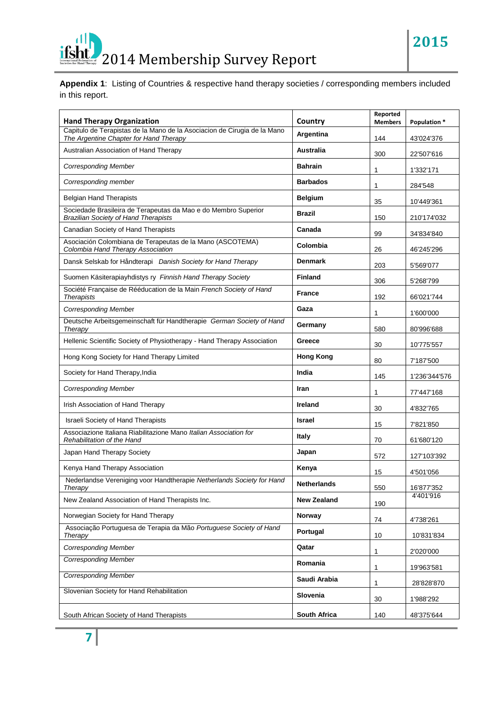## *ifsht* 2014 Membership Survey Report

**Appendix 1**: Listing of Countries & respective hand therapy societies / corresponding members included in this report.

| <b>Hand Therapy Organization</b>                                                                                   | Country            | Reported<br><b>Members</b> | Population *  |
|--------------------------------------------------------------------------------------------------------------------|--------------------|----------------------------|---------------|
| Capitulo de Terapistas de la Mano de la Asociacion de Cirugia de la Mano<br>The Argentine Chapter for Hand Therapy | Argentina          | 144                        | 43'024'376    |
| Australian Association of Hand Therapy                                                                             | <b>Australia</b>   | 300                        | 22'507'616    |
| <b>Corresponding Member</b>                                                                                        | <b>Bahrain</b>     | 1                          | 1'332'171     |
| Corresponding member                                                                                               | <b>Barbados</b>    | 1                          | 284'548       |
| <b>Belgian Hand Therapists</b>                                                                                     | <b>Belgium</b>     | 35                         | 10'449'361    |
| Sociedade Brasileira de Terapeutas da Mao e do Membro Superior<br><b>Brazilian Society of Hand Therapists</b>      | <b>Brazil</b>      | 150                        | 210'174'032   |
| Canadian Society of Hand Therapists                                                                                | Canada             | 99                         | 34'834'840    |
| Asociación Colombiana de Terapeutas de la Mano (ASCOTEMA)<br>Colombia Hand Therapy Association                     | Colombia           | 26                         | 46'245'296    |
| Dansk Selskab for Håndterapi Danish Society for Hand Therapy                                                       | <b>Denmark</b>     | 203                        | 5'569'077     |
| Suomen Käsiterapiayhdistys ry Finnish Hand Therapy Society                                                         | <b>Finland</b>     | 306                        | 5'268'799     |
| Société Française de Rééducation de la Main French Society of Hand<br><b>Therapists</b>                            | <b>France</b>      | 192                        | 66'021'744    |
| <b>Corresponding Member</b>                                                                                        | Gaza               | 1                          | 1'600'000     |
| Deutsche Arbeitsgemeinschaft für Handtherapie German Society of Hand<br>Therapy                                    | Germany            | 580                        | 80'996'688    |
| Hellenic Scientific Society of Physiotherapy - Hand Therapy Association                                            | Greece             | 30                         | 10'775'557    |
| Hong Kong Society for Hand Therapy Limited                                                                         | <b>Hong Kong</b>   | 80                         | 7'187'500     |
| Society for Hand Therapy, India                                                                                    | India              | 145                        | 1'236'344'576 |
| <b>Corresponding Member</b>                                                                                        | Iran               | 1                          | 77'447'168    |
| Irish Association of Hand Therapy                                                                                  | Ireland            | 30                         | 4'832'765     |
| Israeli Society of Hand Therapists                                                                                 | <b>Israel</b>      | 15                         | 7'821'850     |
| Associazione Italiana Riabilitazione Mano Italian Association for<br>Rehabilitation of the Hand                    | Italy              | 70                         | 61'680'120    |
| Japan Hand Therapy Society                                                                                         | Japan              | 572                        | 127'103'392   |
| Kenya Hand Therapy Association                                                                                     | Kenya              | 15                         | 4'501'056     |
| Nederlandse Vereniging voor Handtherapie Netherlands Society for Hand<br>Therapy                                   | Netherlands        | 550                        | 16'877'352    |
| New Zealand Association of Hand Therapists Inc.                                                                    | <b>New Zealand</b> | 190                        | 4'401'916     |
| Norwegian Society for Hand Therapy                                                                                 | Norway             | 74                         | 4'738'261     |
| Associação Portuguesa de Terapia da Mão Portuguese Society of Hand<br><b>Therapy</b>                               | Portugal           | 10                         | 10'831'834    |
| <b>Corresponding Member</b>                                                                                        | Qatar              | 1                          | 2'020'000     |
| <b>Corresponding Member</b>                                                                                        | Romania            | 1                          | 19'963'581    |
| <b>Corresponding Member</b>                                                                                        | Saudi Arabia       | 1                          | 28'828'870    |
| Slovenian Society for Hand Rehabilitation                                                                          | Slovenia           | 30                         | 1'988'292     |
| South African Society of Hand Therapists                                                                           | South Africa       | 140                        | 48'375'644    |